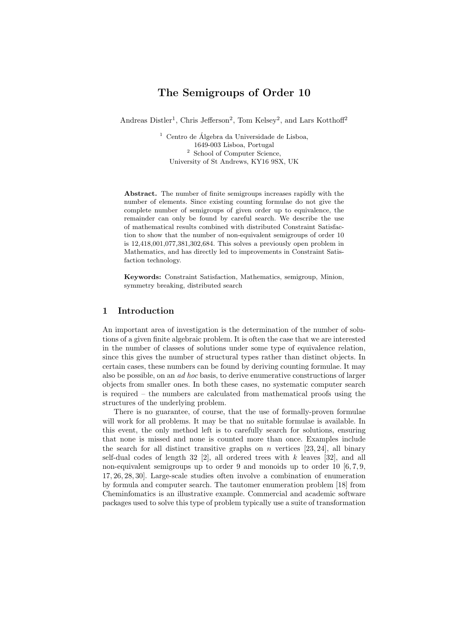Andreas Distler<sup>1</sup>, Chris Jefferson<sup>2</sup>, Tom Kelsey<sup>2</sup>, and Lars Kotthoff<sup>2</sup>

 $1$  Centro de Álgebra da Universidade de Lisboa, 1649-003 Lisboa, Portugal <sup>2</sup> School of Computer Science, University of St Andrews, KY16 9SX, UK

Abstract. The number of finite semigroups increases rapidly with the number of elements. Since existing counting formulae do not give the complete number of semigroups of given order up to equivalence, the remainder can only be found by careful search. We describe the use of mathematical results combined with distributed Constraint Satisfaction to show that the number of non-equivalent semigroups of order 10 is 12,418,001,077,381,302,684. This solves a previously open problem in Mathematics, and has directly led to improvements in Constraint Satisfaction technology.

Keywords: Constraint Satisfaction, Mathematics, semigroup, Minion, symmetry breaking, distributed search

# 1 Introduction

An important area of investigation is the determination of the number of solutions of a given finite algebraic problem. It is often the case that we are interested in the number of classes of solutions under some type of equivalence relation, since this gives the number of structural types rather than distinct objects. In certain cases, these numbers can be found by deriving counting formulae. It may also be possible, on an ad hoc basis, to derive enumerative constructions of larger objects from smaller ones. In both these cases, no systematic computer search is required – the numbers are calculated from mathematical proofs using the structures of the underlying problem.

There is no guarantee, of course, that the use of formally-proven formulae will work for all problems. It may be that no suitable formulae is available. In this event, the only method left is to carefully search for solutions, ensuring that none is missed and none is counted more than once. Examples include the search for all distinct transitive graphs on n vertices  $[23, 24]$ , all binary self-dual codes of length 32 [2], all ordered trees with  $k$  leaves [32], and all non-equivalent semigroups up to order 9 and monoids up to order 10  $[6, 7, 9, 9]$ 17, 26, 28, 30]. Large-scale studies often involve a combination of enumeration by formula and computer search. The tautomer enumeration problem [18] from Cheminfomatics is an illustrative example. Commercial and academic software packages used to solve this type of problem typically use a suite of transformation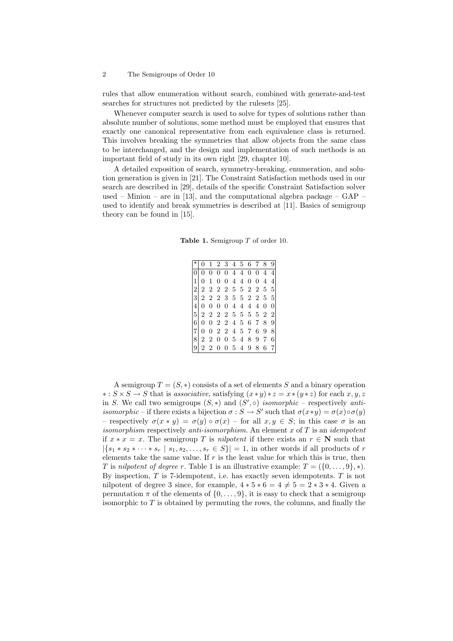rules that allow enumeration without search, combined with generate-and-test searches for structures not predicted by the rulesets [25].

Whenever computer search is used to solve for types of solutions rather than absolute number of solutions, some method must be employed that ensures that exactly one canonical representative from each equivalence class is returned. This involves breaking the symmetries that allow objects from the same class to be interchanged, and the design and implementation of such methods is an important field of study in its own right [29, chapter 10].

A detailed exposition of search, symmetry-breaking, enumeration, and solution generation is given in [21]. The Constraint Satisfaction methods used in our search are described in [29], details of the specific Constraint Satisfaction solver used – Minion – are in [13], and the computational algebra package –  $GAP$  – used to identify and break symmetries is described at [11]. Basics of semigroup theory can be found in [15].

Table 1. Semigroup T of order 10.

|                |                |                |                |                | 2 3 4 5 6 7 8           |                |                |                  |                |                |
|----------------|----------------|----------------|----------------|----------------|-------------------------|----------------|----------------|------------------|----------------|----------------|
|                |                | $\Omega$       | 0              |                | 0 4 4                   |                | $\overline{0}$ | 0                | $\overline{4}$ | $\overline{4}$ |
|                |                |                |                | 0              | 4 4                     |                | $\overline{0}$ | $\boldsymbol{0}$ | $\overline{4}$ | 4 <sup>1</sup> |
| $\overline{2}$ | $\overline{2}$ | $\overline{2}$ | $\overline{2}$ |                | $2\ 5\ 5\ 2\ 2\ 5$      |                |                |                  |                | 5 <sup>1</sup> |
| 3              |                | $\overline{2}$ | $\overline{2}$ |                | $3\; 5\; 5\; 2\; 2\; 5$ |                |                |                  |                | 5 <sup>1</sup> |
|                |                | 0              |                |                | $0\;\;4$                | 4              | 4              | $\overline{4}$   | $\overline{0}$ | 0              |
| $\overline{5}$ | $\overline{2}$ | $\overline{2}$ | $\overline{2}$ |                | 2 5 5 5                 |                |                | $-5$             | $\overline{2}$ | $\overline{2}$ |
| 6              |                | $\overline{0}$ | $\overline{2}$ |                | 2 4 5                   |                | 6              | $\overline{7}$   | 8              | 9              |
|                |                | 0              | $\overline{2}$ | 2 4            |                         | $\overline{5}$ | -7             | 6                | 9              | 8              |
|                | $\overline{2}$ | $\overline{2}$ | $\overline{0}$ | $\overline{0}$ | 5 4                     |                | 8              | 9                | 7              | 6              |
|                |                | $\overline{2}$ |                | $\overline{0}$ | 5 4                     |                | 9              | 8                | 6              |                |

A semigroup  $T = (S, *)$  consists of a set of elements S and a binary operation  $\ast: S \times S \rightarrow S$  that is associative, satisfying  $(x * y) * z = x * (y * z)$  for each x, y, z in S. We call two semigroups  $(S, *)$  and  $(S', \circ)$  isomorphic – respectively antiisomorphic – if there exists a bijection  $\sigma : S \to S'$  such that  $\sigma(x*y) = \sigma(x) \circ \sigma(y)$ – respectively  $\sigma(x * y) = \sigma(y) \circ \sigma(x)$  – for all  $x, y \in S$ ; in this case  $\sigma$  is an isomorphism respectively anti-isomorphism. An element  $x$  of  $T$  is an *idempotent* if  $x * x = x$ . The semigroup T is *nilpotent* if there exists an  $r \in \mathbb{N}$  such that  $|\{s_1 * s_2 * \cdots * s_r \mid s_1, s_2, \ldots, s_r \in S\}| = 1$ , in other words if all products of r elements take the same value. If  $r$  is the least value for which this is true, then T is nilpotent of degree r. Table 1 is an illustrative example:  $T = (\{0, \ldots, 9\}, *)$ . By inspection,  $T$  is 7-idempotent, i.e. has exactly seven idempotents.  $T$  is not nilpotent of degree 3 since, for example,  $4 * 5 * 6 = 4 \neq 5 = 2 * 3 * 4$ . Given a permutation  $\pi$  of the elements of  $\{0, \ldots, 9\}$ , it is easy to check that a semigroup isomorphic to  $T$  is obtained by permuting the rows, the columns, and finally the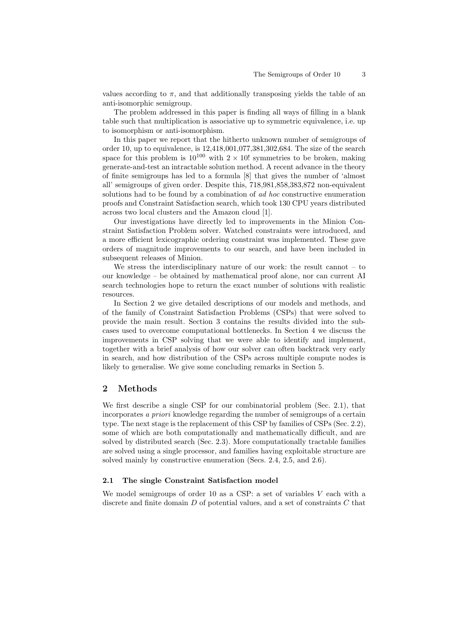values according to  $\pi$ , and that additionally transposing yields the table of an anti-isomorphic semigroup.

The problem addressed in this paper is finding all ways of filling in a blank table such that multiplication is associative up to symmetric equivalence, i.e. up to isomorphism or anti-isomorphism.

In this paper we report that the hitherto unknown number of semigroups of order 10, up to equivalence, is 12,418,001,077,381,302,684. The size of the search space for this problem is  $10^{100}$  with  $2 \times 10!$  symmetries to be broken, making generate-and-test an intractable solution method. A recent advance in the theory of finite semigroups has led to a formula [8] that gives the number of 'almost all' semigroups of given order. Despite this, 718,981,858,383,872 non-equivalent solutions had to be found by a combination of *ad hoc* constructive enumeration proofs and Constraint Satisfaction search, which took 130 CPU years distributed across two local clusters and the Amazon cloud [1].

Our investigations have directly led to improvements in the Minion Constraint Satisfaction Problem solver. Watched constraints were introduced, and a more efficient lexicographic ordering constraint was implemented. These gave orders of magnitude improvements to our search, and have been included in subsequent releases of Minion.

We stress the interdisciplinary nature of our work: the result cannot – to our knowledge – be obtained by mathematical proof alone, nor can current AI search technologies hope to return the exact number of solutions with realistic resources.

In Section 2 we give detailed descriptions of our models and methods, and of the family of Constraint Satisfaction Problems (CSPs) that were solved to provide the main result. Section 3 contains the results divided into the subcases used to overcome computational bottlenecks. In Section 4 we discuss the improvements in CSP solving that we were able to identify and implement, together with a brief analysis of how our solver can often backtrack very early in search, and how distribution of the CSPs across multiple compute nodes is likely to generalise. We give some concluding remarks in Section 5.

# 2 Methods

We first describe a single CSP for our combinatorial problem (Sec. 2.1), that incorporates a priori knowledge regarding the number of semigroups of a certain type. The next stage is the replacement of this CSP by families of CSPs (Sec. 2.2), some of which are both computationally and mathematically difficult, and are solved by distributed search (Sec. 2.3). More computationally tractable families are solved using a single processor, and families having exploitable structure are solved mainly by constructive enumeration (Secs. 2.4, 2.5, and 2.6).

### 2.1 The single Constraint Satisfaction model

We model semigroups of order 10 as a CSP: a set of variables  $V$  each with a discrete and finite domain  $D$  of potential values, and a set of constraints  $C$  that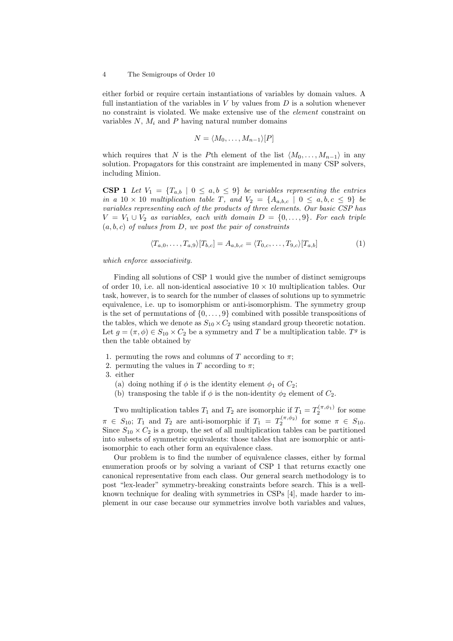either forbid or require certain instantiations of variables by domain values. A full instantiation of the variables in  $V$  by values from  $D$  is a solution whenever no constraint is violated. We make extensive use of the element constraint on variables  $N$ ,  $M_i$  and  $P$  having natural number domains

$$
N = \langle M_0, \ldots, M_{n-1} \rangle [P]
$$

which requires that N is the Pth element of the list  $\langle M_0, \ldots, M_{n-1}\rangle$  in any solution. Propagators for this constraint are implemented in many CSP solvers, including Minion.

**CSP 1** Let  $V_1 = \{T_{a,b} \mid 0 \le a,b \le 9\}$  be variables representing the entries in a 10  $\times$  10 multiplication table T, and  $V_2 = \{A_{a,b,c} \mid 0 \leq a,b,c \leq 9\}$  be variables representing each of the products of three elements. Our basic CSP has  $V = V_1 \cup V_2$  as variables, each with domain  $D = \{0, \ldots, 9\}$ . For each triple  $(a, b, c)$  of values from D, we post the pair of constraints

$$
\langle T_{a,0}, \dots, T_{a,9} \rangle [T_{b,c}] = A_{a,b,c} = \langle T_{0,c}, \dots, T_{9,c} \rangle [T_{a,b}] \tag{1}
$$

which enforce associativity.

Finding all solutions of CSP 1 would give the number of distinct semigroups of order 10, i.e. all non-identical associative  $10 \times 10$  multiplication tables. Our task, however, is to search for the number of classes of solutions up to symmetric equivalence, i.e. up to isomorphism or anti-isomorphism. The symmetry group is the set of permutations of  $\{0, \ldots, 9\}$  combined with possible transpositions of the tables, which we denote as  $S_{10} \times C_2$  using standard group theoretic notation. Let  $g = (\pi, \phi) \in S_{10} \times C_2$  be a symmetry and T be a multiplication table. T<sup>g</sup> is then the table obtained by

- 1. permuting the rows and columns of T according to  $\pi$ ;
- 2. permuting the values in T according to  $\pi$ ;
- 3. either
	- (a) doing nothing if  $\phi$  is the identity element  $\phi_1$  of  $C_2$ ;
	- (b) transposing the table if  $\phi$  is the non-identity  $\phi_2$  element of  $C_2$ .

Two multiplication tables  $T_1$  and  $T_2$  are isomorphic if  $T_1 = T_2^{(\pi,\phi_1)}$  for some  $\pi \in S_{10}$ ;  $T_1$  and  $T_2$  are anti-isomorphic if  $T_1 = T_2^{(\pi,\phi_2)}$  for some  $\pi \in S_{10}$ . Since  $S_{10} \times C_2$  is a group, the set of all multiplication tables can be partitioned into subsets of symmetric equivalents: those tables that are isomorphic or antiisomorphic to each other form an equivalence class.

Our problem is to find the number of equivalence classes, either by formal enumeration proofs or by solving a variant of CSP 1 that returns exactly one canonical representative from each class. Our general search methodology is to post "lex-leader" symmetry-breaking constraints before search. This is a wellknown technique for dealing with symmetries in CSPs [4], made harder to implement in our case because our symmetries involve both variables and values,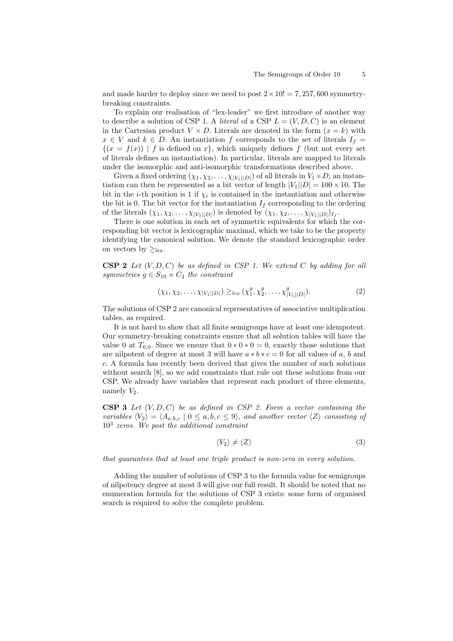and made harder to deploy since we need to post  $2 \times 10! = 7,257,600$  symmetrybreaking constraints.

To explain our realisation of "lex-leader" we first introduce of another way to describe a solution of CSP 1. A *literal* of a CSP  $L = (V, D, C)$  is an element in the Cartesian product  $V \times D$ . Literals are denoted in the form  $(x = k)$  with  $x \in V$  and  $k \in D$ . An instantiation f corresponds to the set of literals  $I_f =$  $\{(x = f(x)) \mid f \text{ is defined on } x\},\$  which uniquely defines f (but not every set of literals defines an instantiation). In particular, literals are mapped to literals under the isomorphic and anti-isomorphic transformations described above.

Given a fixed ordering  $(\chi_1, \chi_2, \ldots, \chi_{|V_1||D|})$  of all literals in  $V_1 \times D$ , an instantiation can then be represented as a bit vector of length  $|V_1||D| = 100 \times 10$ . The bit in the *i*-th position is 1 if  $\chi_i$  is contained in the instantiation and otherwise the bit is 0. The bit vector for the instantiation  $I_f$  corresponding to the ordering of the literals  $(\chi_1, \chi_2, \ldots, \chi_{|V_1||D|})$  is denoted by  $(\chi_1, \chi_2, \ldots, \chi_{|V_1||D|})_{I_f}$ .

There is one solution in each set of symmetric equivalents for which the corresponding bit vector is lexicographic maximal, which we take to be the property identifying the canonical solution. We denote the standard lexicographic order on vectors by  $\geq_{\text{lex}}$ .

**CSP 2** Let  $(V, D, C)$  be as defined in CSP 1. We extend C by adding for all symmetries  $g \in S_{10} \times C_2$  the constraint

$$
(\chi_1, \chi_2, \dots, \chi_{|V_1||D|}) \ge_{lex} (\chi_1^g, \chi_2^g, \dots, \chi_{|V_1||D|}^g).
$$
 (2)

The solutions of CSP 2 are canonical representatives of associative multiplication tables, as required.

It is not hard to show that all finite semigroups have at least one idempotent. Our symmetry-breaking constraints ensure that all solution tables will have the value 0 at  $T_{0,0}$ . Since we ensure that  $0 * 0 * 0 = 0$ , exactly those solutions that are nilpotent of degree at most 3 will have  $a * b * c = 0$  for all values of a, b and c. A formula has recently been derived that gives the number of such solutions without search [8], so we add constraints that rule out these solutions from our CSP. We already have variables that represent each product of three elements, namely  $V_2$ .

**CSP 3** Let  $(V, D, C)$  be as defined in CSP 2. Form a vector containing the variables  $\langle V_2 \rangle = \langle A_{a,b,c} | 0 \le a, b, c \le 9 \rangle$ , and another vector  $\langle Z \rangle$  consisting of  $10^3$  zeros. We post the additional constraint

$$
\langle V_2 \rangle \neq \langle Z \rangle \tag{3}
$$

that guarantees that at least one triple product is non-zero in every solution.

Adding the number of solutions of CSP 3 to the formula value for semigroups of nilpotency degree at most 3 will give our full result. It should be noted that no enumeration formula for the solutions of CSP 3 exists: some form of organised search is required to solve the complete problem.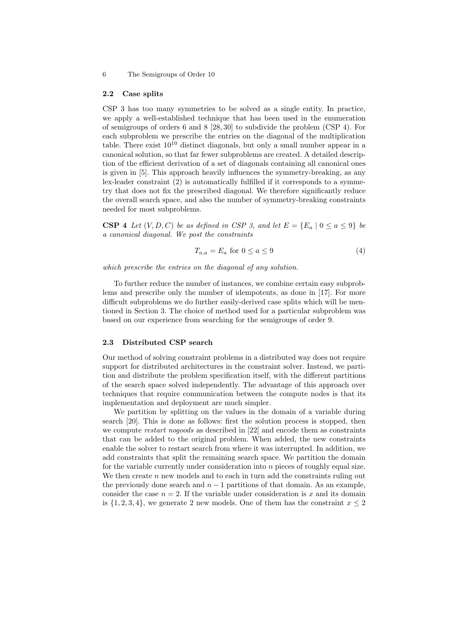#### 2.2 Case splits

CSP 3 has too many symmetries to be solved as a single entity. In practice, we apply a well-established technique that has been used in the enumeration of semigroups of orders 6 and 8 [28, 30] to subdivide the problem (CSP 4). For each subproblem we prescribe the entries on the diagonal of the multiplication table. There exist  $10^{10}$  distinct diagonals, but only a small number appear in a canonical solution, so that far fewer subproblems are created. A detailed description of the efficient derivation of a set of diagonals containing all canonical ones is given in [5]. This approach heavily influences the symmetry-breaking, as any lex-leader constraint (2) is automatically fulfilled if it corresponds to a symmetry that does not fix the prescribed diagonal. We therefore significantly reduce the overall search space, and also the number of symmetry-breaking constraints needed for most subproblems.

**CSP** 4 Let  $(V, D, C)$  be as defined in CSP 3, and let  $E = \{E_a \mid 0 \le a \le 9\}$  be a canonical diagonal. We post the constraints

$$
T_{a,a} = E_a \text{ for } 0 \le a \le 9 \tag{4}
$$

which prescribe the entries on the diagonal of any solution.

To further reduce the number of instances, we combine certain easy subproblems and prescribe only the number of idempotents, as done in [17]. For more difficult subproblems we do further easily-derived case splits which will be mentioned in Section 3. The choice of method used for a particular subproblem was based on our experience from searching for the semigroups of order 9.

### 2.3 Distributed CSP search

Our method of solving constraint problems in a distributed way does not require support for distributed architectures in the constraint solver. Instead, we partition and distribute the problem specification itself, with the different partitions of the search space solved independently. The advantage of this approach over techniques that require communication between the compute nodes is that its implementation and deployment are much simpler.

We partition by splitting on the values in the domain of a variable during search [20]. This is done as follows: first the solution process is stopped, then we compute restart nogoods as described in [22] and encode them as constraints that can be added to the original problem. When added, the new constraints enable the solver to restart search from where it was interrupted. In addition, we add constraints that split the remaining search space. We partition the domain for the variable currently under consideration into  $n$  pieces of roughly equal size. We then create  $n$  new models and to each in turn add the constraints ruling out the previously done search and  $n-1$  partitions of that domain. As an example, consider the case  $n = 2$ . If the variable under consideration is x and its domain is  $\{1, 2, 3, 4\}$ , we generate 2 new models. One of them has the constraint  $x \leq 2$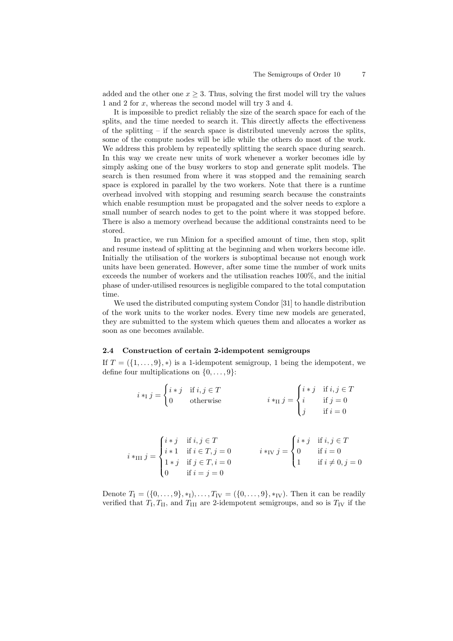added and the other one  $x \geq 3$ . Thus, solving the first model will try the values 1 and 2 for x, whereas the second model will try 3 and 4.

It is impossible to predict reliably the size of the search space for each of the splits, and the time needed to search it. This directly affects the effectiveness of the splitting  $-$  if the search space is distributed unevenly across the splits, some of the compute nodes will be idle while the others do most of the work. We address this problem by repeatedly splitting the search space during search. In this way we create new units of work whenever a worker becomes idle by simply asking one of the busy workers to stop and generate split models. The search is then resumed from where it was stopped and the remaining search space is explored in parallel by the two workers. Note that there is a runtime overhead involved with stopping and resuming search because the constraints which enable resumption must be propagated and the solver needs to explore a small number of search nodes to get to the point where it was stopped before. There is also a memory overhead because the additional constraints need to be stored.

In practice, we run Minion for a specified amount of time, then stop, split and resume instead of splitting at the beginning and when workers become idle. Initially the utilisation of the workers is suboptimal because not enough work units have been generated. However, after some time the number of work units exceeds the number of workers and the utilisation reaches 100%, and the initial phase of under-utilised resources is negligible compared to the total computation time.

We used the distributed computing system Condor [31] to handle distribution of the work units to the worker nodes. Every time new models are generated, they are submitted to the system which queues them and allocates a worker as soon as one becomes available.

### 2.4 Construction of certain 2-idempotent semigroups

If  $T = (\{1, \ldots, 9\}, *)$  is a 1-idempotent semigroup, 1 being the idempotent, we define four multiplications on  $\{0, \ldots, 9\}$ :

$$
i *_{\mathrm{I}} j = \begin{cases} i * j & \text{if } i, j \in T \\ 0 & \text{otherwise} \end{cases} \qquad i *_{\mathrm{II}} j = \begin{cases} i * j & \text{if } i, j \in T \\ i & \text{if } j = 0 \\ j & \text{if } i = 0 \end{cases}
$$

$$
i *_{\text{III}} j = \begin{cases} i * j & \text{if } i, j \in T \\ i * 1 & \text{if } i \in T, j = 0 \\ 1 * j & \text{if } j \in T, i = 0 \\ 0 & \text{if } i = j = 0 \end{cases} \qquad i *_{\text{IV}} j = \begin{cases} i * j & \text{if } i, j \in T \\ 0 & \text{if } i = 0 \\ 1 & \text{if } i \neq 0, j = 0 \end{cases}
$$

Denote  $T_1 = (\{0, \ldots, 9\}, *_1), \ldots, T_{IV} = (\{0, \ldots, 9\}, *_{IV})$ . Then it can be readily verified that  $T_{\text{I}}$ ,  $T_{\text{II}}$ , and  $T_{\text{III}}$  are 2-idempotent semigroups, and so is  $T_{\text{IV}}$  if the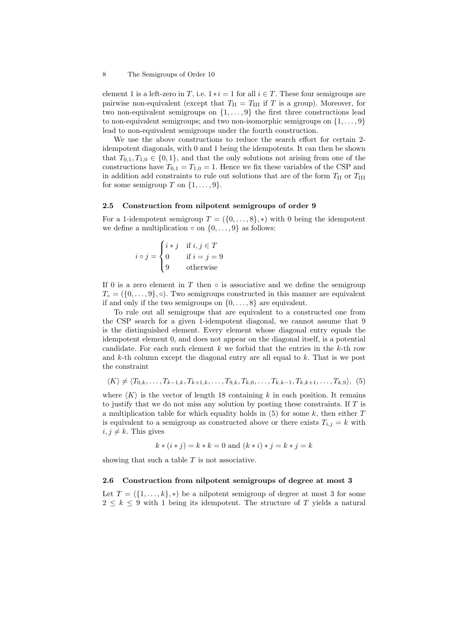element 1 is a left-zero in T, i.e.  $1 * i = 1$  for all  $i \in T$ . These four semigroups are pairwise non-equivalent (except that  $T_{\text{II}} = T_{\text{III}}$  if T is a group). Moreover, for two non-equivalent semigroups on  $\{1, \ldots, 9\}$  the first three constructions lead to non-equivalent semigroups; and two non-isomorphic semigroups on  $\{1, \ldots, 9\}$ lead to non-equivalent semigroups under the fourth construction.

We use the above constructions to reduce the search effort for certain 2 idempotent diagonals, with 0 and 1 being the idempotents. It can then be shown that  $T_{0,1}, T_{1,0} \in \{0,1\}$ , and that the only solutions not arising from one of the constructions have  $T_{0,1} = T_{1,0} = 1$ . Hence we fix these variables of the CSP and in addition add constraints to rule out solutions that are of the form  $T_{\rm II}$  or  $T_{\rm III}$ for some semigroup T on  $\{1,\ldots,9\}$ .

### 2.5 Construction from nilpotent semigroups of order 9

For a 1-idempotent semigroup  $T = (\{0, \ldots, 8\}, *)$  with 0 being the idempotent we define a multiplication  $\circ$  on  $\{0, \ldots, 9\}$  as follows:

$$
i \circ j = \begin{cases} i * j & \text{if } i, j \in T \\ 0 & \text{if } i = j = 9 \\ 9 & \text{otherwise} \end{cases}
$$

If 0 is a zero element in  $T$  then  $\circ$  is associative and we define the semigroup  $T<sub>o</sub> = (\{0, ..., 9\}, \circ)$ . Two semigroups constructed in this manner are equivalent if and only if the two semigroups on  $\{0, \ldots, 8\}$  are equivalent.

To rule out all semigroups that are equivalent to a constructed one from the CSP search for a given 1-idempotent diagonal, we cannot assume that 9 is the distinguished element. Every element whose diagonal entry equals the idempotent element 0, and does not appear on the diagonal itself, is a potential candidate. For each such element  $k$  we forbid that the entries in the  $k$ -th row and  $k$ -th column except the diagonal entry are all equal to  $k$ . That is we post the constraint

$$
\langle K \rangle \neq \langle T_{0,k}, \ldots, T_{k-1,k}, T_{k+1,k}, \ldots, T_{9,k}, T_{k,0}, \ldots, T_{k,k-1}, T_{k,k+1}, \ldots, T_{k,9} \rangle, (5)
$$

where  $\langle K \rangle$  is the vector of length 18 containing k in each position. It remains to justify that we do not miss any solution by posting these constraints. If  $T$  is a multiplication table for which equality holds in  $(5)$  for some k, then either T is equivalent to a semigroup as constructed above or there exists  $T_{i,j} = k$  with  $i, j \neq k$ . This gives

$$
k * (i * j) = k * k = 0
$$
 and  $(k * i) * j = k * j = k$ 

showing that such a table  $T$  is not associative.

### 2.6 Construction from nilpotent semigroups of degree at most 3

Let  $T = (\{1, \ldots, k\}, *)$  be a nilpotent semigroup of degree at most 3 for some  $2 \leq k \leq 9$  with 1 being its idempotent. The structure of T yields a natural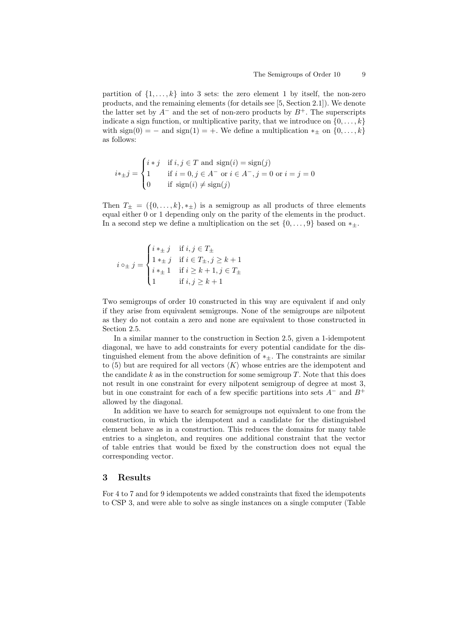partition of  $\{1, \ldots, k\}$  into 3 sets: the zero element 1 by itself, the non-zero products, and the remaining elements (for details see [5, Section 2.1]). We denote the latter set by  $A^-$  and the set of non-zero products by  $B^+$ . The superscripts indicate a sign function, or multiplicative parity, that we introduce on  $\{0, \ldots, k\}$ with sign(0) = − and sign(1) = +. We define a multiplication  $*_\pm$  on  $\{0,\ldots,k\}$ as follows:

$$
i *_{\pm} j = \begin{cases} i * j & \text{if } i, j \in T \text{ and } \text{sign}(i) = \text{sign}(j) \\ 1 & \text{if } i = 0, j \in A^- \text{ or } i \in A^-, j = 0 \text{ or } i = j = 0 \\ 0 & \text{if } \text{sign}(i) \neq \text{sign}(j) \end{cases}
$$

Then  $T_{\pm} = (\{0, \ldots, k\}, *_{\pm})$  is a semigroup as all products of three elements equal either 0 or 1 depending only on the parity of the elements in the product. In a second step we define a multiplication on the set  $\{0, \ldots, 9\}$  based on  $*_+$ .

$$
i \circ_{\pm} j = \begin{cases} i *_{\pm} j & \text{if } i, j \in T_{\pm} \\ 1 *_{\pm} j & \text{if } i \in T_{\pm}, j \geq k+1 \\ i *_{\pm} 1 & \text{if } i \geq k+1, j \in T_{\pm} \\ 1 & \text{if } i, j \geq k+1 \end{cases}
$$

Two semigroups of order 10 constructed in this way are equivalent if and only if they arise from equivalent semigroups. None of the semigroups are nilpotent as they do not contain a zero and none are equivalent to those constructed in Section 2.5.

In a similar manner to the construction in Section 2.5, given a 1-idempotent diagonal, we have to add constraints for every potential candidate for the distinguished element from the above definition of  $*_\pm$ . The constraints are similar to (5) but are required for all vectors  $\langle K \rangle$  whose entries are the idempotent and the candidate  $k$  as in the construction for some semigroup  $T$ . Note that this does not result in one constraint for every nilpotent semigroup of degree at most 3, but in one constraint for each of a few specific partitions into sets  $A^-$  and  $B^+$ allowed by the diagonal.

In addition we have to search for semigroups not equivalent to one from the construction, in which the idempotent and a candidate for the distinguished element behave as in a construction. This reduces the domains for many table entries to a singleton, and requires one additional constraint that the vector of table entries that would be fixed by the construction does not equal the corresponding vector.

# 3 Results

For 4 to 7 and for 9 idempotents we added constraints that fixed the idempotents to CSP 3, and were able to solve as single instances on a single computer (Table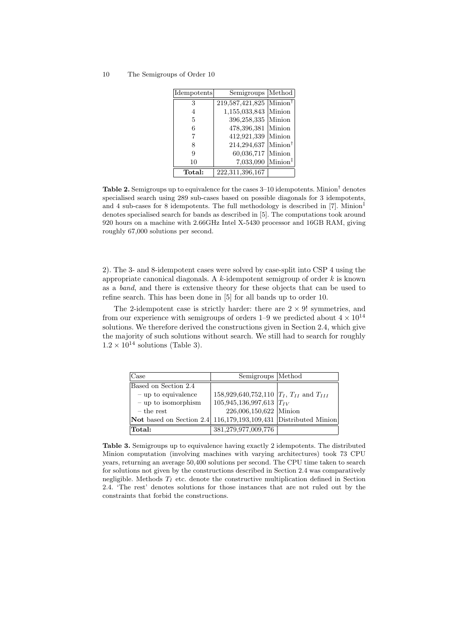| Idempotents | Semigroups      | Method                    |
|-------------|-----------------|---------------------------|
| 3           | 219,587,421,825 | $\text{Minion}^{\dagger}$ |
|             | 1,155,033,843   | Minion                    |
| 5           | 396,258,335     | Minion                    |
| 6           | 478,396,381     | Minion                    |
|             | 412,921,339     | Minion                    |
| 8           | 214,294,637     | Minion <sup>†</sup>       |
| 9           | 60,036,717      | Minion                    |
| 10          | 7,033,090       | Minion <sup>‡</sup>       |
| Total:      | 222,311,396,167 |                           |

Table 2. Semigroups up to equivalence for the cases  $3-10$  idempotents. Minion<sup>†</sup> denotes specialised search using 289 sub-cases based on possible diagonals for 3 idempotents, and 4 sub-cases for 8 idempotents. The full methodology is described in  $[7]$ . Minion<sup>‡</sup> denotes specialised search for bands as described in [5]. The computations took around 920 hours on a machine with 2.66GHz Intel X-5430 processor and 16GB RAM, giving roughly 67,000 solutions per second.

2). The 3- and 8-idempotent cases were solved by case-split into CSP 4 using the appropriate canonical diagonals. A  $k$ -idempotent semigroup of order  $k$  is known as a band, and there is extensive theory for these objects that can be used to refine search. This has been done in [5] for all bands up to order 10.

The 2-idempotent case is strictly harder: there are  $2 \times 9!$  symmetries, and from our experience with semigroups of orders 1–9 we predicted about  $4 \times 10^{14}$ solutions. We therefore derived the constructions given in Section 2.4, which give the majority of such solutions without search. We still had to search for roughly  $1.2 \times 10^{14}$  solutions (Table 3).

| Case                                                                           | Semigroups Method                                               |  |
|--------------------------------------------------------------------------------|-----------------------------------------------------------------|--|
| Based on Section 2.4                                                           |                                                                 |  |
| $-$ up to equivalence                                                          | 158,929,640,752,110 $ T_I, T_{II} \text{ and } T_{III} \rangle$ |  |
| $-$ up to isomorphism                                                          | 105,945,136,997,613 $ T_{IV} $                                  |  |
| $-$ the rest                                                                   | 226,006,150,622 Minion                                          |  |
| <b>Not</b> based on Section 2.4 $\vert$ 116,179,193,109,431 Distributed Minion |                                                                 |  |
| Total:                                                                         | 381,279,977,009,776                                             |  |

Table 3. Semigroups up to equivalence having exactly 2 idempotents. The distributed Minion computation (involving machines with varying architectures) took 73 CPU years, returning an average 50,400 solutions per second. The CPU time taken to search for solutions not given by the constructions described in Section 2.4 was comparatively negligible. Methods  $T_I$  etc. denote the constructive multiplication defined in Section 2.4. 'The rest' denotes solutions for those instances that are not ruled out by the constraints that forbid the constructions.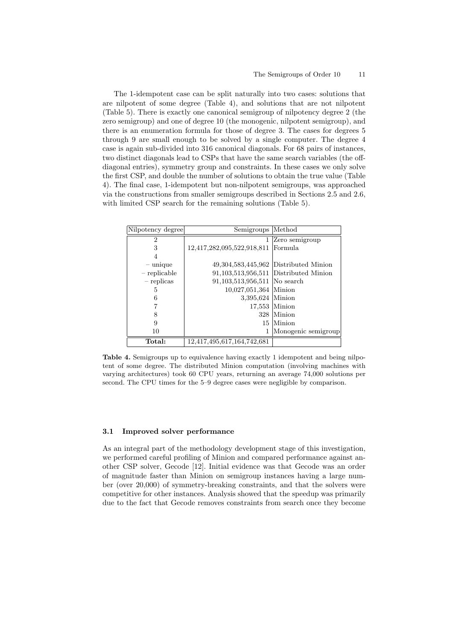The 1-idempotent case can be split naturally into two cases: solutions that are nilpotent of some degree (Table 4), and solutions that are not nilpotent (Table 5). There is exactly one canonical semigroup of nilpotency degree 2 (the zero semigroup) and one of degree 10 (the monogenic, nilpotent semigroup), and there is an enumeration formula for those of degree 3. The cases for degrees 5 through 9 are small enough to be solved by a single computer. The degree 4 case is again sub-divided into 316 canonical diagonals. For 68 pairs of instances, two distinct diagonals lead to CSPs that have the same search variables (the offdiagonal entries), symmetry group and constraints. In these cases we only solve the first CSP, and double the number of solutions to obtain the true value (Table 4). The final case, 1-idempotent but non-nilpotent semigroups, was approached via the constructions from smaller semigroups described in Sections 2.5 and 2.6, with limited CSP search for the remaining solutions (Table 5).

| Nilpotency degree | Semigroups                     | Method              |
|-------------------|--------------------------------|---------------------|
| 2                 | 1                              | Zero semigroup      |
| 3                 | 12,417,282,095,522,918,811     | Formula             |
| 4                 |                                |                     |
| $-$ unique        | 49, 304, 583, 445, 962         | Distributed Minion  |
| $-$ replicable    | 91, 103, 513, 956, 511         | Distributed Minion  |
| $-$ replicas      | $91,103,513,956,511$ No search |                     |
| 5                 | 10,027,051,364                 | Minion              |
| 6                 | 3,395,624                      | Minion              |
| 7                 | 17,553                         | Minion              |
| 8                 | 328                            | Minion              |
| 9                 | 15                             | Minion              |
| 10                | 1                              | Monogenic semigroup |
| Total:            | 12,417,495,617,164,742,681     |                     |

Table 4. Semigroups up to equivalence having exactly 1 idempotent and being nilpotent of some degree. The distributed Minion computation (involving machines with varying architectures) took 60 CPU years, returning an average 74,000 solutions per second. The CPU times for the 5–9 degree cases were negligible by comparison.

# 3.1 Improved solver performance

As an integral part of the methodology development stage of this investigation, we performed careful profiling of Minion and compared performance against another CSP solver, Gecode [12]. Initial evidence was that Gecode was an order of magnitude faster than Minion on semigroup instances having a large number (over 20,000) of symmetry-breaking constraints, and that the solvers were competitive for other instances. Analysis showed that the speedup was primarily due to the fact that Gecode removes constraints from search once they become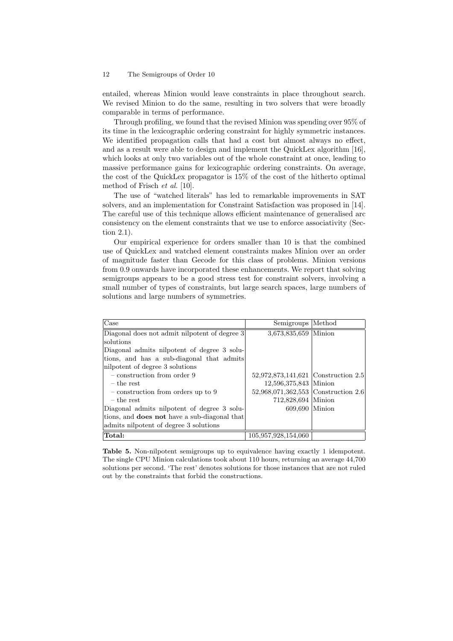entailed, whereas Minion would leave constraints in place throughout search. We revised Minion to do the same, resulting in two solvers that were broadly comparable in terms of performance.

Through profiling, we found that the revised Minion was spending over 95% of its time in the lexicographic ordering constraint for highly symmetric instances. We identified propagation calls that had a cost but almost always no effect, and as a result were able to design and implement the QuickLex algorithm [16], which looks at only two variables out of the whole constraint at once, leading to massive performance gains for lexicographic ordering constraints. On average, the cost of the QuickLex propagator is 15% of the cost of the hitherto optimal method of Frisch et al. [10].

The use of "watched literals" has led to remarkable improvements in SAT solvers, and an implementation for Constraint Satisfaction was proposed in [14]. The careful use of this technique allows efficient maintenance of generalised arc consistency on the element constraints that we use to enforce associativity (Section 2.1).

Our empirical experience for orders smaller than 10 is that the combined use of QuickLex and watched element constraints makes Minion over an order of magnitude faster than Gecode for this class of problems. Minion versions from 0.9 onwards have incorporated these enhancements. We report that solving semigroups appears to be a good stress test for constraint solvers, involving a small number of types of constraints, but large search spaces, large numbers of solutions and large numbers of symmetries.

| Case                                                | Semigroups  Method                  |  |
|-----------------------------------------------------|-------------------------------------|--|
| Diagonal does not admit nilpotent of degree 3       | $3,673,835,659$ Minion              |  |
| solutions                                           |                                     |  |
| Diagonal admits nilpotent of degree 3 solu-         |                                     |  |
| tions, and has a sub-diagonal that admits           |                                     |  |
| nilpotent of degree 3 solutions                     |                                     |  |
| $-$ construction from order 9                       | 52,972,873,141,621 Construction 2.5 |  |
| $-$ the rest                                        | 12,596,375,843   Minion             |  |
| - construction from orders up to 9                  | 52,968,071,362,553 Construction 2.6 |  |
| $-$ the rest                                        | 712,828,694   Minion                |  |
| Diagonal admits nilpotent of degree 3 solu-         | 609,690 Minion                      |  |
| tions, and <b>does not</b> have a sub-diagonal that |                                     |  |
| admits nilpotent of degree 3 solutions              |                                     |  |
| Total:                                              | 105,957,928,154,060                 |  |

Table 5. Non-nilpotent semigroups up to equivalence having exactly 1 idempotent. The single CPU Minion calculations took about 110 hours, returning an average 44,700 solutions per second. 'The rest' denotes solutions for those instances that are not ruled out by the constraints that forbid the constructions.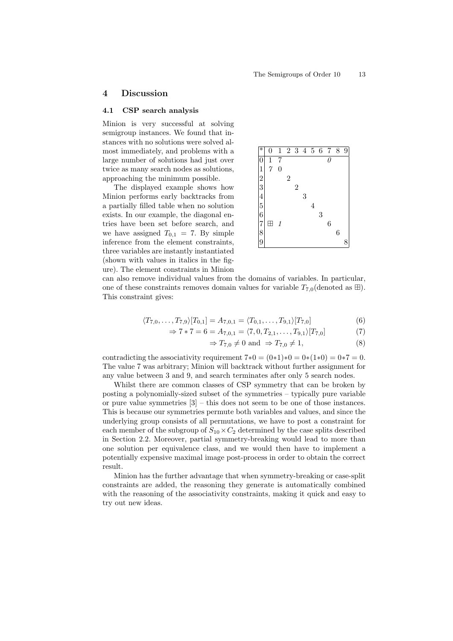## 4 Discussion

### 4.1 CSP search analysis

Minion is very successful at solving semigroup instances. We found that instances with no solutions were solved almost immediately, and problems with a large number of solutions had just over twice as many search nodes as solutions, approaching the minimum possible.

The displayed example shows how Minion performs early backtracks from a partially filled table when no solution exists. In our example, the diagonal entries have been set before search, and we have assigned  $T_{0,1} = 7$ . By simple inference from the element constraints, three variables are instantly instantiated (shown with values in italics in the figure). The element constraints in Minion



can also remove individual values from the domains of variables. In particular, one of these constraints removes domain values for variable  $T_{7,0}$  (denoted as  $\boxplus$ ). This constraint gives:

$$
\langle T_{7,0},\ldots,T_{7,9}\rangle[T_{0,1}] = A_{7,0,1} = \langle T_{0,1},\ldots,T_{9,1}\rangle[T_{7,0}] \tag{6}
$$

$$
\Rightarrow 7 \times 7 = 6 = A_{7,0,1} = \langle 7, 0, T_{2,1}, \dots, T_{9,1} \rangle [T_{7,0}] \tag{7}
$$

$$
\Rightarrow T_{7,0} \neq 0 \text{ and } \Rightarrow T_{7,0} \neq 1,\tag{8}
$$

contradicting the associativity requirement  $7*0 = (0*1)*0 = 0*(1*0) = 0*7 = 0$ . The value 7 was arbitrary; Minion will backtrack without further assignment for any value between 3 and 9, and search terminates after only 5 search nodes.

Whilst there are common classes of CSP symmetry that can be broken by posting a polynomially-sized subset of the symmetries – typically pure variable or pure value symmetries [3] – this does not seem to be one of those instances. This is because our symmetries permute both variables and values, and since the underlying group consists of all permutations, we have to post a constraint for each member of the subgroup of  $S_{10} \times C_2$  determined by the case splits described in Section 2.2. Moreover, partial symmetry-breaking would lead to more than one solution per equivalence class, and we would then have to implement a potentially expensive maximal image post-process in order to obtain the correct result.

Minion has the further advantage that when symmetry-breaking or case-split constraints are added, the reasoning they generate is automatically combined with the reasoning of the associativity constraints, making it quick and easy to try out new ideas.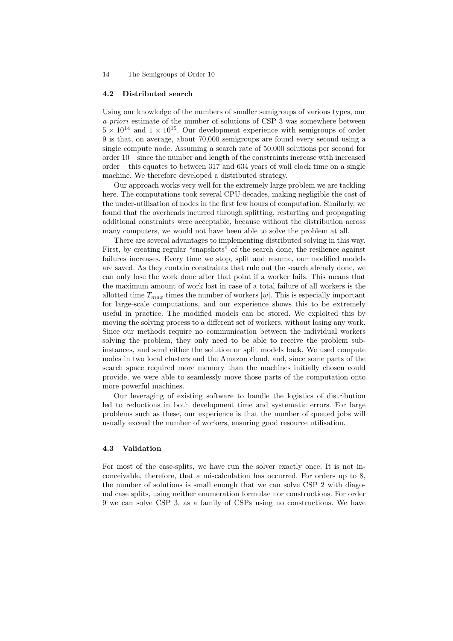#### 4.2 Distributed search

Using our knowledge of the numbers of smaller semigroups of various types, our a priori estimate of the number of solutions of CSP 3 was somewhere between  $5 \times 10^{14}$  and  $1 \times 10^{15}$ . Our development experience with semigroups of order 9 is that, on average, about 70,000 semigroups are found every second using a single compute node. Assuming a search rate of 50,000 solutions per second for order 10 – since the number and length of the constraints increase with increased order – this equates to between 317 and 634 years of wall clock time on a single machine. We therefore developed a distributed strategy.

Our approach works very well for the extremely large problem we are tackling here. The computations took several CPU decades, making negligible the cost of the under-utilisation of nodes in the first few hours of computation. Similarly, we found that the overheads incurred through splitting, restarting and propagating additional constraints were acceptable, because without the distribution across many computers, we would not have been able to solve the problem at all.

There are several advantages to implementing distributed solving in this way. First, by creating regular "snapshots" of the search done, the resilience against failures increases. Every time we stop, split and resume, our modified models are saved. As they contain constraints that rule out the search already done, we can only lose the work done after that point if a worker fails. This means that the maximum amount of work lost in case of a total failure of all workers is the allotted time  $T_{max}$  times the number of workers  $|w|$ . This is especially important for large-scale computations, and our experience shows this to be extremely useful in practice. The modified models can be stored. We exploited this by moving the solving process to a different set of workers, without losing any work. Since our methods require no communication between the individual workers solving the problem, they only need to be able to receive the problem subinstances, and send either the solution or split models back. We used compute nodes in two local clusters and the Amazon cloud, and, since some parts of the search space required more memory than the machines initially chosen could provide, we were able to seamlessly move those parts of the computation onto more powerful machines.

Our leveraging of existing software to handle the logistics of distribution led to reductions in both development time and systematic errors. For large problems such as these, our experience is that the number of queued jobs will usually exceed the number of workers, ensuring good resource utilisation.

### 4.3 Validation

For most of the case-splits, we have run the solver exactly once. It is not inconceivable, therefore, that a miscalculation has occurred. For orders up to 8, the number of solutions is small enough that we can solve CSP 2 with diagonal case splits, using neither enumeration formulae nor constructions. For order 9 we can solve CSP 3, as a family of CSPs using no constructions. We have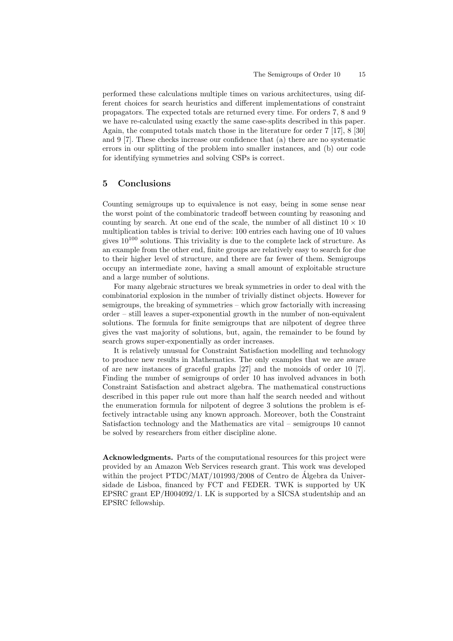performed these calculations multiple times on various architectures, using different choices for search heuristics and different implementations of constraint propagators. The expected totals are returned every time. For orders 7, 8 and 9 we have re-calculated using exactly the same case-splits described in this paper. Again, the computed totals match those in the literature for order 7 [17], 8 [30] and 9 [7]. These checks increase our confidence that (a) there are no systematic errors in our splitting of the problem into smaller instances, and (b) our code for identifying symmetries and solving CSPs is correct.

# 5 Conclusions

Counting semigroups up to equivalence is not easy, being in some sense near the worst point of the combinatoric tradeoff between counting by reasoning and counting by search. At one end of the scale, the number of all distinct  $10 \times 10$ multiplication tables is trivial to derive: 100 entries each having one of 10 values gives  $10^{100}$  solutions. This triviality is due to the complete lack of structure. As an example from the other end, finite groups are relatively easy to search for due to their higher level of structure, and there are far fewer of them. Semigroups occupy an intermediate zone, having a small amount of exploitable structure and a large number of solutions.

For many algebraic structures we break symmetries in order to deal with the combinatorial explosion in the number of trivially distinct objects. However for semigroups, the breaking of symmetries – which grow factorially with increasing order – still leaves a super-exponential growth in the number of non-equivalent solutions. The formula for finite semigroups that are nilpotent of degree three gives the vast majority of solutions, but, again, the remainder to be found by search grows super-exponentially as order increases.

It is relatively unusual for Constraint Satisfaction modelling and technology to produce new results in Mathematics. The only examples that we are aware of are new instances of graceful graphs [27] and the monoids of order 10 [7]. Finding the number of semigroups of order 10 has involved advances in both Constraint Satisfaction and abstract algebra. The mathematical constructions described in this paper rule out more than half the search needed and without the enumeration formula for nilpotent of degree 3 solutions the problem is effectively intractable using any known approach. Moreover, both the Constraint Satisfaction technology and the Mathematics are vital – semigroups 10 cannot be solved by researchers from either discipline alone.

Acknowledgments. Parts of the computational resources for this project were provided by an Amazon Web Services research grant. This work was developed within the project  $PTDC/MAT/101993/2008$  of Centro de Algebra da Universidade de Lisboa, financed by FCT and FEDER. TWK is supported by UK EPSRC grant EP/H004092/1. LK is supported by a SICSA studentship and an EPSRC fellowship.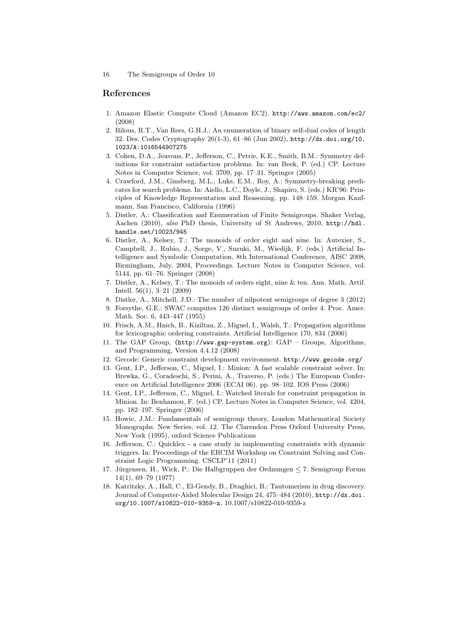# References

- 1. Amazon Elastic Compute Cloud (Amazon EC2). http://aws.amazon.com/ec2/ (2008)
- 2. Bilous, R.T., Van Rees, G.H.J.: An enumeration of binary self-dual codes of length 32. Des. Codes Cryptography 26(1-3), 61–86 (Jun 2002), http://dx.doi.org/10. 1023/A:1016544907275
- 3. Cohen, D.A., Jeavons, P., Jefferson, C., Petrie, K.E., Smith, B.M.: Symmetry definitions for constraint satisfaction problems. In: van Beek, P. (ed.) CP. Lecture Notes in Computer Science, vol. 3709, pp. 17–31. Springer (2005)
- 4. Crawford, J.M., Ginsberg, M.L., Luks, E.M., Roy, A.: Symmetry-breaking predicates for search problems. In: Aiello, L.C., Doyle, J., Shapiro, S. (eds.) KR'96: Principles of Knowledge Representation and Reasoning. pp. 148–159. Morgan Kaufmann, San Francisco, California (1996)
- 5. Distler, A.: Classification and Enumeration of Finite Semigroups. Shaker Verlag, Aachen (2010), also PhD thesis, University of St Andrews, 2010, http://hdl. handle.net/10023/945
- 6. Distler, A., Kelsey, T.: The monoids of order eight and nine. In: Autexier, S., Campbell, J., Rubio, J., Sorge, V., Suzuki, M., Wiedijk, F. (eds.) Artificial Intelligence and Symbolic Computation, 8th International Conference, AISC 2008, Birmingham, July, 2004, Proceedings. Lecture Notes in Computer Science, vol. 5144, pp. 61–76. Springer (2008)
- 7. Distler, A., Kelsey, T.: The monoids of orders eight, nine & ten. Ann. Math. Artif. Intell. 56(1), 3–21 (2009)
- 8. Distler, A., Mitchell, J.D.: The number of nilpotent semigroups of degree 3 (2012)
- 9. Forsythe, G.E.: SWAC computes 126 distinct semigroups of order 4. Proc. Amer. Math. Soc. 6, 443–447 (1955)
- 10. Frisch, A.M., Hnich, B., Kiziltan, Z., Miguel, I., Walsh, T.: Propagation algorithms for lexicographic ordering constraints. Artificial Intelligence 170, 834 (2006)
- 11. The GAP Group, (http://www.gap-system.org): GAP Groups, Algorithms, and Programming, Version 4.4.12 (2008)
- 12. Gecode: Generic constraint development environment. http://www.gecode.org/
- 13. Gent, I.P., Jefferson, C., Miguel, I.: Minion: A fast scalable constraint solver. In: Brewka, G., Coradeschi, S., Perini, A., Traverso, P. (eds.) The European Conference on Artificial Intelligence 2006 (ECAI 06). pp. 98–102. IOS Press (2006)
- 14. Gent, I.P., Jefferson, C., Miguel, I.: Watched literals for constraint propagation in Minion. In: Benhamou, F. (ed.) CP. Lecture Notes in Computer Science, vol. 4204, pp. 182–197. Springer (2006)
- 15. Howie, J.M.: Fundamentals of semigroup theory, London Mathematical Society Monographs. New Series, vol. 12. The Clarendon Press Oxford University Press, New York (1995), oxford Science Publications
- 16. Jefferson, C.: Quicklex a case study in implementing constraints with dynamic triggers. In: Proceedings of the ERCIM Workshop on Constraint Solving and Constraint Logic Programming. CSCLP'11 (2011)
- 17. Jürgensen, H., Wick, P.: Die Halbgruppen der Ordnungen  $\leq 7$ . Semigroup Forum 14(1), 69–79 (1977)
- 18. Katritzky, A., Hall, C., El-Gendy, B., Draghici, B.: Tautomerism in drug discovery. Journal of Computer-Aided Molecular Design 24, 475–484 (2010), http://dx.doi. org/10.1007/s10822-010-9359-z, 10.1007/s10822-010-9359-z